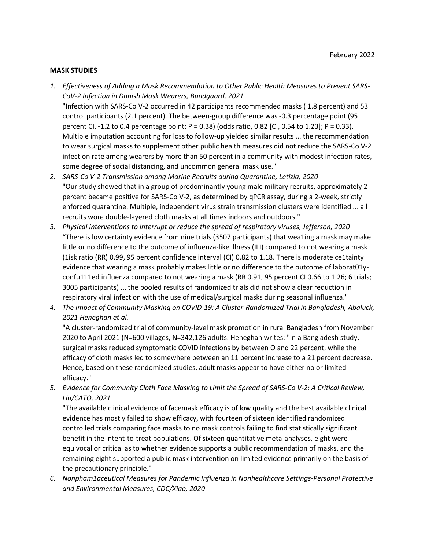#### **MASK STUDIES**

- *1. Effectiveness of Adding a Mask Recommendation to Other Public Health Measures to Prevent SARS-CoV-2 Infection in Danish Mask Wearers, Bundgaard, 2021*  "Infection with SARS-Co V-2 occurred in 42 participants recommended masks ( 1.8 percent) and 53 control participants (2.1 percent). The between-group difference was -0.3 percentage point (95 percent CI, -1.2 to 0.4 percentage point; P = 0.38) (odds ratio, 0.82 [CI, 0.54 to 1.23]; P = 0.33). Multiple imputation accounting for loss to follow-up yielded similar results ... the recommendation to wear surgical masks to supplement other public health measures did not reduce the SARS-Co V-2 infection rate among wearers by more than 50 percent in a community with modest infection rates, some degree of social distancing, and uncommon general mask use."
- *2. SARS-Co V-2 Transmission among Marine Recruits during Quarantine, Letizia, 2020*  "Our study showed that in a group of predominantly young male military recruits, approximately 2 percent became positive for SARS-Co V-2, as determined by qPCR assay, during a 2-week, strictly enforced quarantine. Multiple, independent virus strain transmission clusters were identified ... all recruits wore double-layered cloth masks at all times indoors and outdoors."
- *3. Physical interventions to interrupt or reduce the spread of respiratory viruses, Jefferson, 2020*  "There is low certainty evidence from nine trials (3507 participants) that wea1ing a mask may make little or no difference to the outcome of influenza-like illness (ILI) compared to not wearing a mask (1isk ratio (RR) 0.99, 95 percent confidence interval (CI) 0.82 to 1.18. There is moderate ce1tainty evidence that wearing a mask probably makes little or no difference to the outcome of laborat01yconfu111ed influenza compared to not wearing a mask (RR 0.91, 95 percent CI 0.66 to 1.26; 6 trials; 3005 participants) ... the pooled results of randomized trials did not show a clear reduction in respiratory viral infection with the use of medical/surgical masks during seasonal influenza."
- *4. The Impact of Community Masking on COVID-19: A Cluster-Randomized Trial in Bangladesh, Abaluck, 2021 Heneghan et al.*

"A cluster-randomized trial of community-level mask promotion in rural Bangladesh from November 2020 to April 2021 (N=600 villages, N=342,126 adults. Heneghan writes: "In a Bangladesh study, surgical masks reduced symptomatic COVID infections by between O and 22 percent, while the efficacy of cloth masks led to somewhere between an 11 percent increase to a 21 percent decrease. Hence, based on these randomized studies, adult masks appear to have either no or limited efficacy."

*5. Evidence for Community Cloth Face Masking to Limit the Spread of SARS-Co V-2: A Critical Review, Liu/CATO, 2021* 

"The available clinical evidence of facemask efficacy is of low quality and the best available clinical evidence has mostly failed to show efficacy, with fourteen of sixteen identified randomized controlled trials comparing face masks to no mask controls failing to find statistically significant benefit in the intent-to-treat populations. Of sixteen quantitative meta-analyses, eight were equivocal or critical as to whether evidence supports a public recommendation of masks, and the remaining eight supported a public mask intervention on limited evidence primarily on the basis of the precautionary principle."

*6. Nonpham1aceutical Measures for Pandemic Influenza in Nonhealthcare Settings-Personal Protective and Environmental Measures, CDC/Xiao, 2020*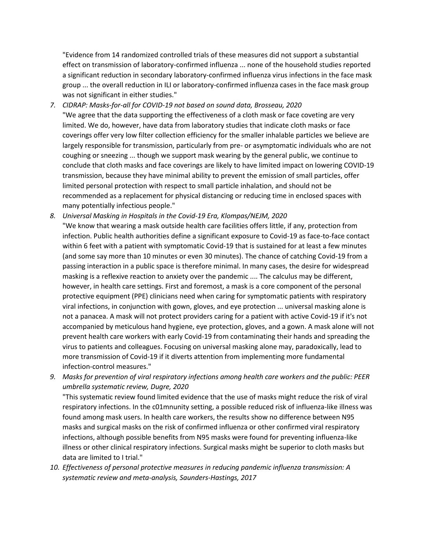"Evidence from 14 randomized controlled trials of these measures did not support a substantial effect on transmission of laboratory-confirmed influenza ... none of the household studies reported a significant reduction in secondary laboratory-confirmed influenza virus infections in the face mask group ... the overall reduction in ILI or laboratory-confirmed influenza cases in the face mask group was not significant in either studies."

*7. CIDRAP: Masks-for-all for COVID-19 not based on sound data, Brosseau, 2020* 

"We agree that the data supporting the effectiveness of a cloth mask or face coveting are very limited. We do, however, have data from laboratory studies that indicate cloth masks or face coverings offer very low filter collection efficiency for the smaller inhalable particles we believe are largely responsible for transmission, particularly from pre- or asymptomatic individuals who are not coughing or sneezing ... though we support mask wearing by the general public, we continue to conclude that cloth masks and face coverings are likely to have limited impact on lowering COVID-19 transmission, because they have minimal ability to prevent the emission of small particles, offer limited personal protection with respect to small particle inhalation, and should not be recommended as a replacement for physical distancing or reducing time in enclosed spaces with many potentially infectious people."

*8. Universal Masking in Hospitals in the Covid-19 Era, Klompas/NEJM, 2020* 

"We know that wearing a mask outside health care facilities offers little, if any, protection from infection. Public health authorities define a significant exposure to Covid-19 as face-to-face contact within 6 feet with a patient with symptomatic Covid-19 that is sustained for at least a few minutes (and some say more than 10 minutes or even 30 minutes). The chance of catching Covid-19 from a passing interaction in a public space is therefore minimal. In many cases, the desire for widespread masking is a reflexive reaction to anxiety over the pandemic .... The calculus may be different, however, in health care settings. First and foremost, a mask is a core component of the personal protective equipment (PPE) clinicians need when caring for symptomatic patients with respiratory viral infections, in conjunction with gown, gloves, and eye protection ... universal masking alone is not a panacea. A mask will not protect providers caring for a patient with active Covid-19 if it's not accompanied by meticulous hand hygiene, eye protection, gloves, and a gown. A mask alone will not prevent health care workers with early Covid-19 from contaminating their hands and spreading the virus to patients and colleagues. Focusing on universal masking alone may, paradoxically, lead to more transmission of Covid-19 if it diverts attention from implementing more fundamental infection-control measures."

*9. Masks for prevention of viral respiratory infections among health care workers and the public: PEER umbrella systematic review, Dugre, 2020* 

"This systematic review found limited evidence that the use of masks might reduce the risk of viral respiratory infections. In the c01mnunity setting, a possible reduced risk of influenza-like illness was found among mask users. In health care workers, the results show no difference between N95 masks and surgical masks on the risk of confirmed influenza or other confirmed viral respiratory infections, although possible benefits from N95 masks were found for preventing influenza-like illness or other clinical respiratory infections. Surgical masks might be superior to cloth masks but data are limited to I trial."

*10. Effectiveness of personal protective measures in reducing pandemic influenza transmission: A systematic review and meta-analysis, Saunders-Hastings, 2017*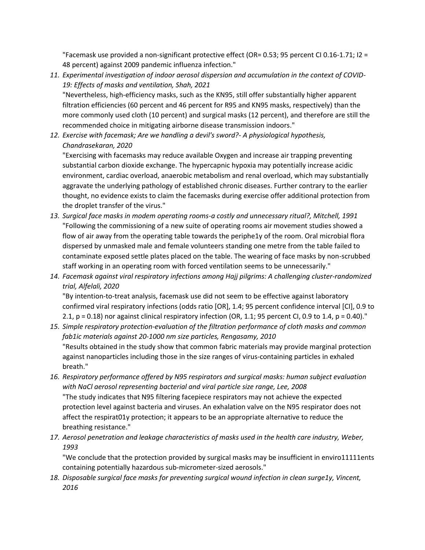"Facemask use provided a non-significant protective effect (OR= 0.53; 95 percent CI 0.16-1.71; I2 = 48 percent) against 2009 pandemic influenza infection."

*11. Experimental investigation of indoor aerosol dispersion and accumulation in the context of COVID-19: Effects of masks and ventilation, Shah, 2021* 

"Nevertheless, high-efficiency masks, such as the KN95, still offer substantially higher apparent filtration efficiencies (60 percent and 46 percent for R95 and KN95 masks, respectively) than the more commonly used cloth (10 percent) and surgical masks (12 percent), and therefore are still the recommended choice in mitigating airborne disease transmission indoors."

*12. Exercise with facemask; Are we handling a devil's sword?- A physiological hypothesis, Chandrasekaran, 2020* 

"Exercising with facemasks may reduce available Oxygen and increase air trapping preventing substantial carbon dioxide exchange. The hypercapnic hypoxia may potentially increase acidic environment, cardiac overload, anaerobic metabolism and renal overload, which may substantially aggravate the underlying pathology of established chronic diseases. Further contrary to the earlier thought, no evidence exists to claim the facemasks during exercise offer additional protection from the droplet transfer of the virus."

- *13. Surgical face masks in modem operating rooms-a costly and unnecessary ritual?, Mitchell, 1991*  "Following the commissioning of a new suite of operating rooms air movement studies showed a flow of air away from the operating table towards the periphe1y of the room. Oral microbial flora dispersed by unmasked male and female volunteers standing one metre from the table failed to contaminate exposed settle plates placed on the table. The wearing of face masks by non-scrubbed staff working in an operating room with forced ventilation seems to be unnecessarily."
- *14. Facemask against viral respiratory infections among Hajj pilgrims: A challenging cluster-randomized trial, Alfelali, 2020*

"By intention-to-treat analysis, facemask use did not seem to be effective against laboratory confirmed viral respiratory infections (odds ratio [OR], 1.4; 95 percent confidence interval [CI], 0.9 to 2.1,  $p = 0.18$ ) nor against clinical respiratory infection (OR, 1.1; 95 percent CI, 0.9 to 1.4,  $p = 0.40$ )."

- *15. Simple respiratory protection-evaluation of the filtration performance of cloth masks and common fab1ic materials against 20-1000 nm size particles, Rengasamy, 2010* "Results obtained in the study show that common fabric materials may provide marginal protection against nanoparticles including those in the size ranges of virus-containing particles in exhaled breath."
- *16. Respiratory performance offered by N95 respirators and surgical masks: human subject evaluation with NaCl aerosol representing bacterial and viral particle size range, Lee, 2008*  "The study indicates that N95 filtering facepiece respirators may not achieve the expected protection level against bacteria and viruses. An exhalation valve on the N95 respirator does not affect the respirat01y protection; it appears to be an appropriate alternative to reduce the breathing resistance."
- *17. Aerosol penetration and leakage characteristics of masks used in the health care industry, Weber, 1993*

"We conclude that the protection provided by surgical masks may be insufficient in enviro11111ents containing potentially hazardous sub-micrometer-sized aerosols."

*18. Disposable surgical face masks for preventing surgical wound infection in clean surge1y, Vincent, 2016*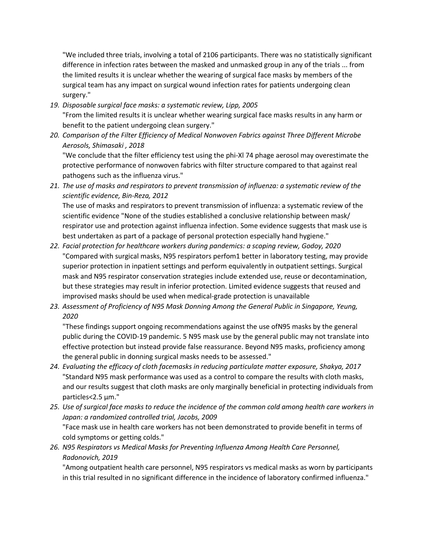"We included three trials, involving a total of 2106 participants. There was no statistically significant difference in infection rates between the masked and unmasked group in any of the trials ... from the limited results it is unclear whether the wearing of surgical face masks by members of the surgical team has any impact on surgical wound infection rates for patients undergoing clean surgery."

- *19. Disposable surgical face masks: a systematic review, Lipp, 2005*  "From the limited results it is unclear whether wearing surgical face masks results in any harm or benefit to the patient undergoing clean surgery."
- *20. Comparison of the Filter Efficiency of Medical Nonwoven Fabrics against Three Different Microbe Aerosols, Shimasaki , 2018*  "We conclude that the filter efficiency test using the phi-Xl 74 phage aerosol may overestimate the protective performance of nonwoven fabrics with filter structure compared to that against real

pathogens such as the influenza virus."

*21. The use of masks and respirators to prevent transmission of influenza: a systematic review of the scientific evidence, Bin-Reza, 2012* 

The use of masks and respirators to prevent transmission of influenza: a systematic review of the scientific evidence "None of the studies established a conclusive relationship between mask/ respirator use and protection against influenza infection. Some evidence suggests that mask use is best undertaken as part of a package of personal protection especially hand hygiene."

- *22. Facial protection for healthcare workers during pandemics: a scoping review, Godoy, 2020*  "Compared with surgical masks, N95 respirators perfom1 better in laboratory testing, may provide superior protection in inpatient settings and perform equivalently in outpatient settings. Surgical mask and N95 respirator conservation strategies include extended use, reuse or decontamination, but these strategies may result in inferior protection. Limited evidence suggests that reused and improvised masks should be used when medical-grade protection is unavailable
- *23. Assessment of Proficiency of N95 Mask Donning Among the General Public in Singapore, Yeung, 2020*

"These findings support ongoing recommendations against the use ofN95 masks by the general public during the COVID-19 pandemic. 5 N95 mask use by the general public may not translate into effective protection but instead provide false reassurance. Beyond N95 masks, proficiency among the general public in donning surgical masks needs to be assessed."

- *24. Evaluating the efficacy of cloth facemasks in reducing particulate matter exposure, Shakya, 2017*  "Standard N95 mask performance was used as a control to compare the results with cloth masks, and our results suggest that cloth masks are only marginally beneficial in protecting individuals from particles<2.5 µm."
- *25. Use of surgical face masks to reduce the incidence of the common cold among health care workers in Japan: a randomized controlled trial, Jacobs, 2009*  "Face mask use in health care workers has not been demonstrated to provide benefit in terms of cold symptoms or getting colds."
- *26. N95 Respirators vs Medical Masks for Preventing Influenza Among Health Care Personnel, Radonovich, 2019*

"Among outpatient health care personnel, N95 respirators vs medical masks as worn by participants in this trial resulted in no significant difference in the incidence of laboratory confirmed influenza."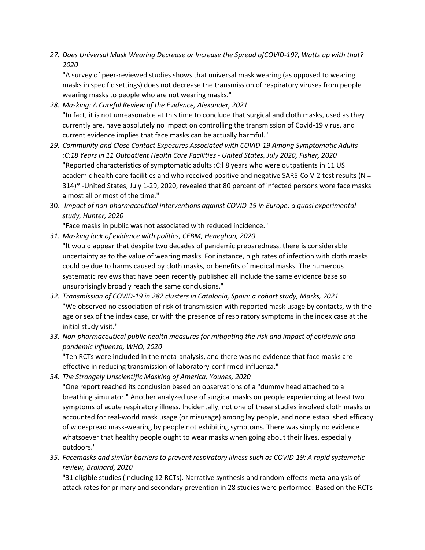*27. Does Universal Mask Wearing Decrease or Increase the Spread ofCOVID-19?, Watts up with that? 2020* 

"A survey of peer-reviewed studies shows that universal mask wearing (as opposed to wearing masks in specific settings) does not decrease the transmission of respiratory viruses from people wearing masks to people who are not wearing masks."

- *28. Masking: A Careful Review of the Evidence, Alexander, 2021*  "In fact, it is not unreasonable at this time to conclude that surgical and cloth masks, used as they currently are, have absolutely no impact on controlling the transmission of Covid-19 virus, and current evidence implies that face masks can be actually harmful."
- *29. Community and Close Contact Exposures Associated with COVID-19 Among Symptomatic Adults :C:18 Years in 11 Outpatient Health Care Facilities - United States, July 2020, Fisher, 2020*  "Reported characteristics of symptomatic adults :C:l 8 years who were outpatients in 11 US academic health care facilities and who received positive and negative SARS-Co V-2 test results (N = 314)\* -United States, July 1-29, 2020, revealed that 80 percent of infected persons wore face masks almost all or most of the time."
- 30. *Impact of non-pharmaceutical interventions against COVID-19 in Europe: a quasi experimental study, Hunter, 2020*

"Face masks in public was not associated with reduced incidence."

- *31. Masking lack of evidence with politics, CEBM, Heneghan, 2020*  "It would appear that despite two decades of pandemic preparedness, there is considerable uncertainty as to the value of wearing masks. For instance, high rates of infection with cloth masks could be due to harms caused by cloth masks, or benefits of medical masks. The numerous systematic reviews that have been recently published all include the same evidence base so unsurprisingly broadly reach the same conclusions."
- *32. Transmission of COVID-19 in 282 clusters in Catalonia, Spain: a cohort study, Marks, 2021*  "We observed no association of risk of transmission with reported mask usage by contacts, with the age or sex of the index case, or with the presence of respiratory symptoms in the index case at the initial study visit."
- *33. Non-pharmaceutical public health measures for mitigating the risk and impact of epidemic and pandemic influenza, WHO, 2020*

"Ten RCTs were included in the meta-analysis, and there was no evidence that face masks are effective in reducing transmission of laboratory-confirmed influenza."

*34. The Strangely Unscientific Masking of America, Younes, 2020* 

"One report reached its conclusion based on observations of a "dummy head attached to a breathing simulator." Another analyzed use of surgical masks on people experiencing at least two symptoms of acute respiratory illness. Incidentally, not one of these studies involved cloth masks or accounted for real-world mask usage (or misusage) among lay people, and none established efficacy of widespread mask-wearing by people not exhibiting symptoms. There was simply no evidence whatsoever that healthy people ought to wear masks when going about their lives, especially outdoors."

*35. Facemasks and similar barriers to prevent respiratory illness such as COVID-19: A rapid systematic review, Brainard, 2020* 

"31 eligible studies (including 12 RCTs). Narrative synthesis and random-effects meta-analysis of attack rates for primary and secondary prevention in 28 studies were performed. Based on the RCTs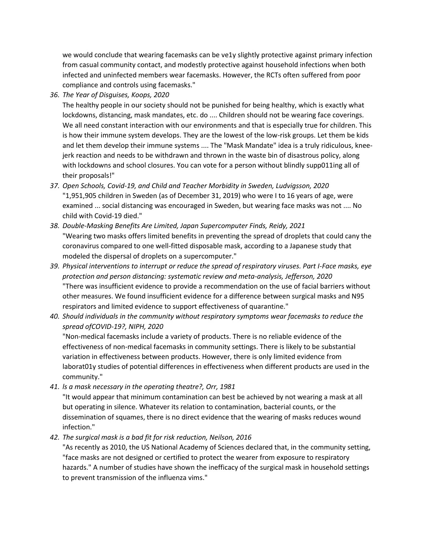we would conclude that wearing facemasks can be ve1y slightly protective against primary infection from casual community contact, and modestly protective against household infections when both infected and uninfected members wear facemasks. However, the RCTs often suffered from poor compliance and controls using facemasks."

*36. The Year of Disguises, Koops, 2020* 

The healthy people in our society should not be punished for being healthy, which is exactly what lockdowns, distancing, mask mandates, etc. do .... Children should not be wearing face coverings. We all need constant interaction with our environments and that is especially true for children. This is how their immune system develops. They are the lowest of the low-risk groups. Let them be kids and let them develop their immune systems .... The "Mask Mandate" idea is a truly ridiculous, kneejerk reaction and needs to be withdrawn and thrown in the waste bin of disastrous policy, along with lockdowns and school closures. You can vote for a person without blindly supp011ing all of their proposals!"

- *37. Open Schools, Covid-19, and Child and Teacher Morbidity in Sweden, Ludvigsson, 2020*  "1,951,905 children in Sweden (as of December 31, 2019) who were I to 16 years of age, were examined ... social distancing was encouraged in Sweden, but wearing face masks was not .... No child with Covid-19 died."
- *38. Double-Masking Benefits Are Limited, Japan Supercomputer Finds, Reidy, 2021*  "Wearing two masks offers limited benefits in preventing the spread of droplets that could cany the coronavirus compared to one well-fitted disposable mask, according to a Japanese study that modeled the dispersal of droplets on a supercomputer."
- *39. Physical interventions to interrupt or reduce the spread of respiratory viruses. Part I-Face masks, eye protection and person distancing: systematic review and meta-analysis, Jefferson, 2020*  "There was insufficient evidence to provide a recommendation on the use of facial barriers without other measures. We found insufficient evidence for a difference between surgical masks and N95 respirators and limited evidence to support effectiveness of quarantine."
- *40. Should individuals in the community without respiratory symptoms wear facemasks to reduce the spread ofCOVID-19?, NIPH, 2020*

"Non-medical facemasks include a variety of products. There is no reliable evidence of the effectiveness of non-medical facemasks in community settings. There is likely to be substantial variation in effectiveness between products. However, there is only limited evidence from laborat01y studies of potential differences in effectiveness when different products are used in the community."

*41. ls a mask necessary in the operating theatre?, Orr, 1981*

"It would appear that minimum contamination can best be achieved by not wearing a mask at all but operating in silence. Whatever its relation to contamination, bacterial counts, or the dissemination of squames, there is no direct evidence that the wearing of masks reduces wound infection."

*42. The surgical mask is a bad fit for risk reduction, Neilson, 2016* 

"As recently as 2010, the US National Academy of Sciences declared that, in the community setting, "face masks are not designed or certified to protect the wearer from exposure to respiratory hazards." A number of studies have shown the inefficacy of the surgical mask in household settings to prevent transmission of the influenza vims."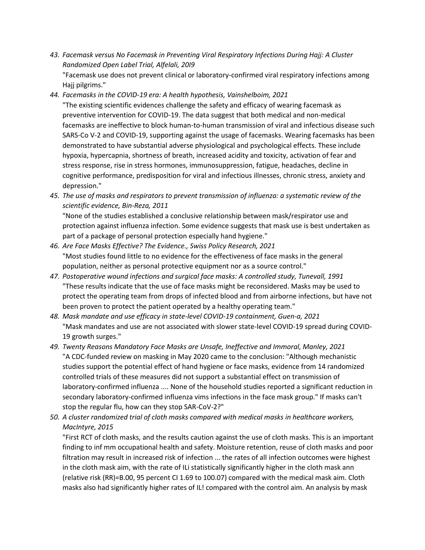*43. Facemask versus No Facemask in Preventing Viral Respiratory Infections During Hajj: A Cluster Randomized Open Label Trial, Alfelali, 20I9* 

"Facemask use does not prevent clinical or laboratory-confirmed viral respiratory infections among Hajj pilgrims."

*44. Facemasks in the COVID-19 era: A health hypothesis, Vainshelboim, 2021* 

"The existing scientific evidences challenge the safety and efficacy of wearing facemask as preventive intervention for COVID-19. The data suggest that both medical and non-medical facemasks are ineffective to block human-to-human transmission of viral and infectious disease such SARS-Co V-2 and COVID-19, supporting against the usage of facemasks. Wearing facemasks has been demonstrated to have substantial adverse physiological and psychological effects. These include hypoxia, hypercapnia, shortness of breath, increased acidity and toxicity, activation of fear and stress response, rise in stress hormones, immunosuppression, fatigue, headaches, decline in cognitive performance, predisposition for viral and infectious illnesses, chronic stress, anxiety and depression."

*45. The use of masks and respirators to prevent transmission of influenza: a systematic review of the scientific evidence, Bin-Reza, 2011* 

"None of the studies established a conclusive relationship between mask/respirator use and protection against influenza infection. Some evidence suggests that mask use is best undertaken as part of a package of personal protection especially hand hygiene."

- *46. Are Face Masks Effective? The Evidence., Swiss Policy Research, 2021*  "Most studies found little to no evidence for the effectiveness of face masks in the general population, neither as personal protective equipment nor as a source control."
- *47. Postoperative wound infections and surgical face masks: A controlled study, Tunevall, 1991*  "These results indicate that the use of face masks might be reconsidered. Masks may be used to protect the operating team from drops of infected blood and from airborne infections, but have not been proven to protect the patient operated by a healthy operating team."
- *48. Mask mandate and use efficacy in state-level COVID-19 containment, Guen-a, 2021*  "Mask mandates and use are not associated with slower state-level COVID-19 spread during COVID-19 growth surges."
- *49. Twenty Reasons Mandatory Face Masks are Unsafe, Ineffective and Immoral, Manley, 2021*  "A CDC-funded review on masking in May 2020 came to the conclusion: "Although mechanistic studies support the potential effect of hand hygiene or face masks, evidence from 14 randomized controlled trials of these measures did not support a substantial effect on transmission of laboratory-confirmed influenza .... None of the household studies reported a significant reduction in secondary laboratory-confirmed influenza vims infections in the face mask group." If masks can't stop the regular flu, how can they stop SAR-CoV-2?"
- *50. A cluster randomized trial of cloth masks compared with medical masks in healthcare workers, MacIntyre, 2015*

"First RCT of cloth masks, and the results caution against the use of cloth masks. This is an important finding to inf mm occupational health and safety. Moisture retention, reuse of cloth masks and poor filtration may result in increased risk of infection ... the rates of all infection outcomes were highest in the cloth mask aim, with the rate of ILi statistically significantly higher in the cloth mask ann (relative risk (RR)=B.00, 95 percent CI 1.69 to 100.07) compared with the medical mask aim. Cloth masks also had significantly higher rates of IL! compared with the control aim. An analysis by mask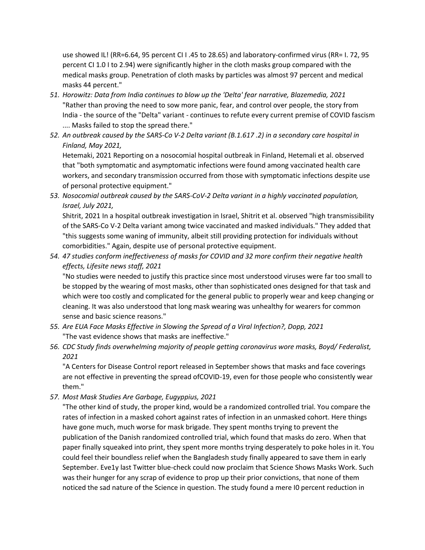use showed IL! (RR=6.64, 95 percent CI I .45 to 28.65) and laboratory-confirmed virus (RR= I. 72, 95 percent CI 1.0 I to 2.94) were significantly higher in the cloth masks group compared with the medical masks group. Penetration of cloth masks by particles was almost 97 percent and medical masks 44 percent."

- *51. Horowitz: Data from India continues to blow up the 'Delta' fear narrative, Blazemedia, 2021*  "Rather than proving the need to sow more panic, fear, and control over people, the story from India - the source of the "Delta" variant - continues to refute every current premise of COVID fascism .... Masks failed to stop the spread there."
- *52. An outbreak caused by the SARS-Co V-2 Delta variant (B.1.617 .2) in a secondary care hospital in Finland, May 2021,*

Hetemaki, 2021 Reporting on a nosocomial hospital outbreak in Finland, Hetemali et al. observed that "both symptomatic and asymptomatic infections were found among vaccinated health care workers, and secondary transmission occurred from those with symptomatic infections despite use of personal protective equipment."

*53. Nosocomial outbreak caused by the SARS-CoV-2 Delta variant in a highly vaccinated population, Israel, July 2021,* 

Shitrit, 2021 In a hospital outbreak investigation in Israel, Shitrit et al. observed "high transmissibility of the SARS-Co V-2 Delta variant among twice vaccinated and masked individuals." They added that "this suggests some waning of immunity, albeit still providing protection for individuals without comorbidities." Again, despite use of personal protective equipment.

*54. 47 studies conform ineffectiveness of masks for COVID and 32 more confirm their negative health effects, Lifesite news staff, 2021* 

"No studies were needed to justify this practice since most understood viruses were far too small to be stopped by the wearing of most masks, other than sophisticated ones designed for that task and which were too costly and complicated for the general public to properly wear and keep changing or cleaning. It was also understood that long mask wearing was unhealthy for wearers for common sense and basic science reasons."

- *55. Are EUA Face Masks Effective in Slowing the Spread of a Viral Infection?, Dopp, 2021*  "The vast evidence shows that masks are ineffective."
- *56. CDC Study finds overwhelming majority of people getting coronavirus wore masks, Boyd/ Federalist, 2021*

"A Centers for Disease Control report released in September shows that masks and face coverings are not effective in preventing the spread ofCOVID-19, even for those people who consistently wear them."

*57. Most Mask Studies Are Garbage, Eugyppius, 2021* 

"The other kind of study, the proper kind, would be a randomized controlled trial. You compare the rates of infection in a masked cohort against rates of infection in an unmasked cohort. Here things have gone much, much worse for mask brigade. They spent months trying to prevent the publication of the Danish randomized controlled trial, which found that masks do zero. When that paper finally squeaked into print, they spent more months trying desperately to poke holes in it. You could feel their boundless relief when the Bangladesh study finally appeared to save them in early September. Eve1y last Twitter blue-check could now proclaim that Science Shows Masks Work. Such was their hunger for any scrap of evidence to prop up their prior convictions, that none of them noticed the sad nature of the Science in question. The study found a mere I0 percent reduction in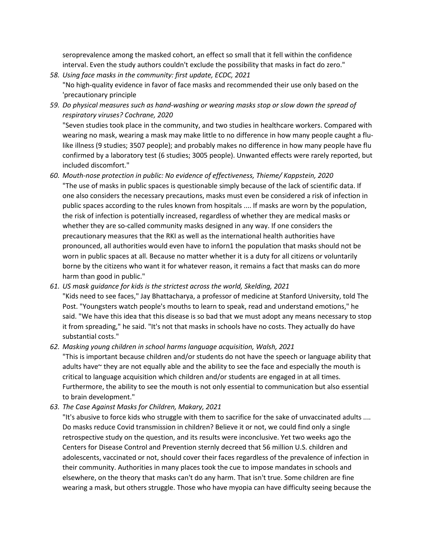seroprevalence among the masked cohort, an effect so small that it fell within the confidence interval. Even the study authors couldn't exclude the possibility that masks in fact do zero."

- *58. Using face masks in the community: first update, ECDC, 2021* "No high-quality evidence in favor of face masks and recommended their use only based on the 'precautionary principle
- *59. Do physical measures such as hand-washing or wearing masks stop or slow down the spread of respiratory viruses? Cochrane, 2020*  "Seven studies took place in the community, and two studies in healthcare workers. Compared with

wearing no mask, wearing a mask may make little to no difference in how many people caught a flulike illness (9 studies; 3507 people); and probably makes no difference in how many people have flu confirmed by a laboratory test (6 studies; 3005 people). Unwanted effects were rarely reported, but included discomfort."

- *60. Mouth-nose protection in public: No evidence of effectiveness, Thieme/ Kappstein, 2020*  "The use of masks in public spaces is questionable simply because of the lack of scientific data. If one also considers the necessary precautions, masks must even be considered a risk of infection in public spaces according to the rules known from hospitals .... If masks are worn by the population, the risk of infection is potentially increased, regardless of whether they are medical masks or whether they are so-called community masks designed in any way. If one considers the precautionary measures that the RKI as well as the international health authorities have pronounced, all authorities would even have to inforn1 the population that masks should not be worn in public spaces at all. Because no matter whether it is a duty for all citizens or voluntarily borne by the citizens who want it for whatever reason, it remains a fact that masks can do more harm than good in public."
- *61. US mask guidance for kids is the strictest across the world, Skelding, 2021*

"Kids need to see faces," Jay Bhattacharya, a professor of medicine at Stanford University, told The Post. "Youngsters watch people's mouths to learn to speak, read and understand emotions," he said. "We have this idea that this disease is so bad that we must adopt any means necessary to stop it from spreading," he said. "It's not that masks in schools have no costs. They actually do have substantial costs."

*62. Masking young children in school harms language acquisition, Walsh, 2021* 

"This is important because children and/or students do not have the speech or language ability that adults have~ they are not equally able and the ability to see the face and especially the mouth is critical to language acquisition which children and/or students are engaged in at all times. Furthermore, the ability to see the mouth is not only essential to communication but also essential to brain development."

*63. The Case Against Masks for Children, Makary, 2021* 

"It's abusive to force kids who struggle with them to sacrifice for the sake of unvaccinated adults .... Do masks reduce Covid transmission in children? Believe it or not, we could find only a single retrospective study on the question, and its results were inconclusive. Yet two weeks ago the Centers for Disease Control and Prevention sternly decreed that 56 million U.S. children and adolescents, vaccinated or not, should cover their faces regardless of the prevalence of infection in their community. Authorities in many places took the cue to impose mandates in schools and elsewhere, on the theory that masks can't do any harm. That isn't true. Some children are fine wearing a mask, but others struggle. Those who have myopia can have difficulty seeing because the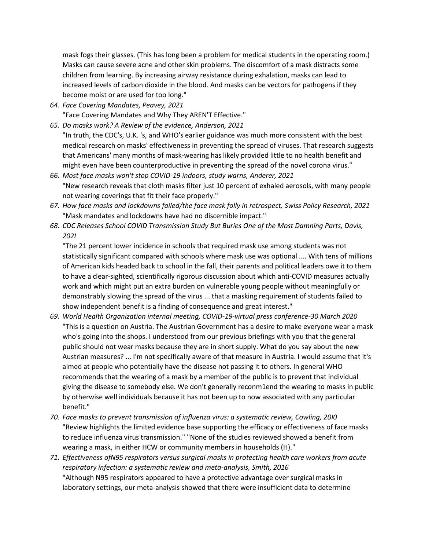mask fogs their glasses. (This has long been a problem for medical students in the operating room.) Masks can cause severe acne and other skin problems. The discomfort of a mask distracts some children from learning. By increasing airway resistance during exhalation, masks can lead to increased levels of carbon dioxide in the blood. And masks can be vectors for pathogens if they become moist or are used for too long."

*64. Face Covering Mandates, Peavey, 2021* 

"Face Covering Mandates and Why They AREN'T Effective."

*65. Do masks work? A Review of the evidence, Anderson, 2021* 

"In truth, the CDC's, U.K. 's, and WHO's earlier guidance was much more consistent with the best medical research on masks' effectiveness in preventing the spread of viruses. That research suggests that Americans' many months of mask-wearing has likely provided little to no health benefit and might even have been counterproductive in preventing the spread of the novel corona virus.''

- *66. Most face masks won't stop COVID-19 indoors, study warns, Anderer, 2021*  "New research reveals that cloth masks filter just 10 percent of exhaled aerosols, with many people not wearing coverings that fit their face properly."
- *67. How face masks and lockdowns failed/the face mask folly in retrospect, Swiss Policy Research, 2021*  "Mask mandates and lockdowns have had no discernible impact."
- *68. CDC Releases School COVID Transmission Study But Buries One of the Most Damning Parts, Davis, 202I*

"The 21 percent lower incidence in schools that required mask use among students was not statistically significant compared with schools where mask use was optional .... With tens of millions of American kids headed back to school in the fall, their parents and political leaders owe it to them to have a clear-sighted, scientifically rigorous discussion about which anti-COVID measures actually work and which might put an extra burden on vulnerable young people without meaningfully or demonstrably slowing the spread of the virus ... that a masking requirement of students failed to show independent benefit is a finding of consequence and great interest."

- *69. World Health Organization internal meeting, COVID-19-virtual press conference-30 March 2020* "This is a question on Austria. The Austrian Government has a desire to make everyone wear a mask who's going into the shops. I understood from our previous briefings with you that the general public should not wear masks because they are in short supply. What do you say about the new Austrian measures? ... I'm not specifically aware of that measure in Austria. I would assume that it's aimed at people who potentially have the disease not passing it to others. In general WHO recommends that the wearing of a mask by a member of the public is to prevent that individual giving the disease to somebody else. We don't generally reconm1end the wearing to masks in public by otherwise well individuals because it has not been up to now associated with any particular benefit."
- *70. Face masks to prevent transmission of influenza virus: a systematic review, Cowling, 20I0*  "Review highlights the limited evidence base supporting the efficacy or effectiveness of face masks to reduce influenza virus transmission." "None of the studies reviewed showed a benefit from wearing a mask, in either HCW or community members in households (H)."
- *71. Effectiveness ofN95 respirators versus surgical masks in protecting health care workers from acute respiratory infection: a systematic review and meta-analysis, Smith, 2016*  "Although N95 respirators appeared to have a protective advantage over surgical masks in laboratory settings, our meta-analysis showed that there were insufficient data to determine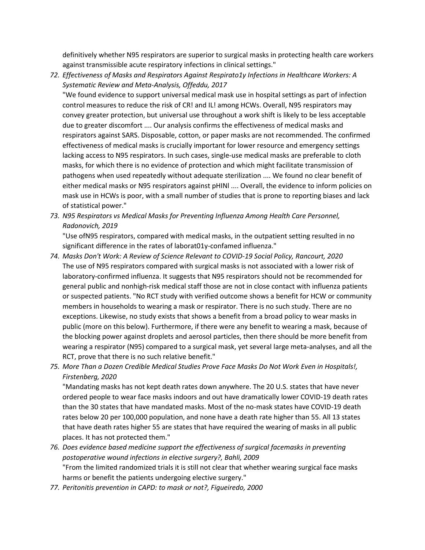definitively whether N95 respirators are superior to surgical masks in protecting health care workers against transmissible acute respiratory infections in clinical settings."

*72. Effectiveness of Masks and Respirators Against Respirato1y Infections in Healthcare Workers: A Systematic Review and Meta-Analysis, Offeddu, 2017* 

"We found evidence to support universal medical mask use in hospital settings as part of infection control measures to reduce the risk of CR! and IL! among HCWs. Overall, N95 respirators may convey greater protection, but universal use throughout a work shift is likely to be less acceptable due to greater discomfort .... Our analysis confirms the effectiveness of medical masks and respirators against SARS. Disposable, cotton, or paper masks are not recommended. The confirmed effectiveness of medical masks is crucially important for lower resource and emergency settings lacking access to N95 respirators. In such cases, single-use medical masks are preferable to cloth masks, for which there is no evidence of protection and which might facilitate transmission of pathogens when used repeatedly without adequate sterilization .... We found no clear benefit of either medical masks or N95 respirators against pHINl .... Overall, the evidence to inform policies on mask use in HCWs is poor, with a small number of studies that is prone to reporting biases and lack of statistical power."

*73. N95 Respirators vs Medical Masks for Preventing Influenza Among Health Care Personnel, Radonovich, 2019* 

"Use ofN95 respirators, compared with medical masks, in the outpatient setting resulted in no significant difference in the rates of laborat01y-confamed influenza."

- *74. Masks Don't Work: A Review of Science Relevant to COVID-19 Social Policy, Rancourt, 2020*  The use of N95 respirators compared with surgical masks is not associated with a lower risk of laboratory-confirmed influenza. It suggests that N95 respirators should not be recommended for general public and nonhigh-risk medical staff those are not in close contact with influenza patients or suspected patients. "No RCT study with verified outcome shows a benefit for HCW or community members in households to wearing a mask or respirator. There is no such study. There are no exceptions. Likewise, no study exists that shows a benefit from a broad policy to wear masks in public (more on this below). Furthermore, if there were any benefit to wearing a mask, because of the blocking power against droplets and aerosol particles, then there should be more benefit from wearing a respirator (N95) compared to a surgical mask, yet several large meta-analyses, and all the RCT, prove that there is no such relative benefit."
- *75. More Than a Dozen Credible Medical Studies Prove Face Masks Do Not Work Even in Hospitals!, Firstenberg, 2020*

"Mandating masks has not kept death rates down anywhere. The 20 U.S. states that have never ordered people to wear face masks indoors and out have dramatically lower COVID-19 death rates than the 30 states that have mandated masks. Most of the no-mask states have COVID-19 death rates below 20 per 100,000 population, and none have a death rate higher than 55. All 13 states that have death rates higher 55 are states that have required the wearing of masks in all public places. It has not protected them."

- *76. Does evidence based medicine support the effectiveness of surgical facemasks in preventing postoperative wound infections in elective surgery?, Bahli, 2009*  "From the limited randomized trials it is still not clear that whether wearing surgical face masks harms or benefit the patients undergoing elective surgery."
- *77. Peritonitis prevention in CAPD: to mask or not?, Figueiredo, 2000*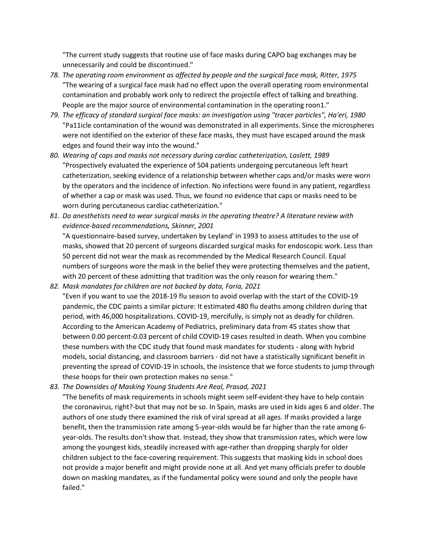"The current study suggests that routine use of face masks during CAPO bag exchanges may be unnecessarily and could be discontinued."

- *78. The operating room environment as affected by people and the surgical face mask, Ritter, 1975*  "The wearing of a surgical face mask had no effect upon the overall operating room environmental contamination and probably work only to redirect the projectile effect of talking and breathing. People are the major source of environmental contamination in the operating roon1."
- *79. The efficacy of standard surgical face masks: an investigation using "tracer particles", Ha'eri, 1980*  "Pa11icle contamination of the wound was demonstrated in all experiments. Since the microspheres were not identified on the exterior of these face masks, they must have escaped around the mask edges and found their way into the wound."
- *80. Wearing of caps and masks not necessary during cardiac catheterization, Laslett, 1989*  "Prospectively evaluated the experience of 504 patients undergoing percutaneous left heart catheterization, seeking evidence of a relationship between whether caps and/or masks were worn by the operators and the incidence of infection. No infections were found in any patient, regardless of whether a cap or mask was used. Thus, we found no evidence that caps or masks need to be worn during percutaneous cardiac catheterization."
- *81. Do anesthetists need to wear surgical masks in the operating theatre? A literature review with evidence-based recommendations, Skinner, 2001*

"A questionnaire-based survey, undertaken by Leyland' in 1993 to assess attitudes to the use of masks, showed that 20 percent of surgeons discarded surgical masks for endoscopic work. Less than 50 percent did not wear the mask as recommended by the Medical Research Council. Equal numbers of surgeons wore the mask in the belief they were protecting themselves and the patient, with 20 percent of these admitting that tradition was the only reason for wearing them."

*82. Mask mandates for children are not backed by data, Faria, 2021* "Even if you want to use the 2018-19 flu season to avoid overlap with the start of the COVID-19 pandemic, the CDC paints a similar picture: It estimated 480 flu deaths among children during that period, with 46,000 hospitalizations. COVID-19, mercifully, is simply not as deadly for children. According to the American Academy of Pediatrics, preliminary data from 45 states show that between 0.00 percent-0.03 percent of child COVID-19 cases resulted in death. When you combine these numbers with the CDC study that found mask mandates for students - along with hybrid models, social distancing, and classroom barriers - did not have a statistically significant benefit in preventing the spread of COVID-19 in schools, the insistence that we force students to jump through these hoops for their own protection makes no sense."

*83. The Downsides of Masking Young Students Are Real, Prasad, 2021* 

"The benefits of mask requirements in schools might seem self-evident-they have to help contain the coronavirus, right?-but that may not be so. In Spain, masks are used in kids ages 6 and older. The authors of one study there examined the risk of viral spread at all ages. If masks provided a large benefit, then the transmission rate among 5-year-olds would be far higher than the rate among 6 year-olds. The results don't show that. Instead, they show that transmission rates, which were low among the youngest kids, steadily increased with age-rather than dropping sharply for older children subject to the face-covering requirement. This suggests that masking kids in school does not provide a major benefit and might provide none at all. And yet many officials prefer to double down on masking mandates, as if the fundamental policy were sound and only the people have failed."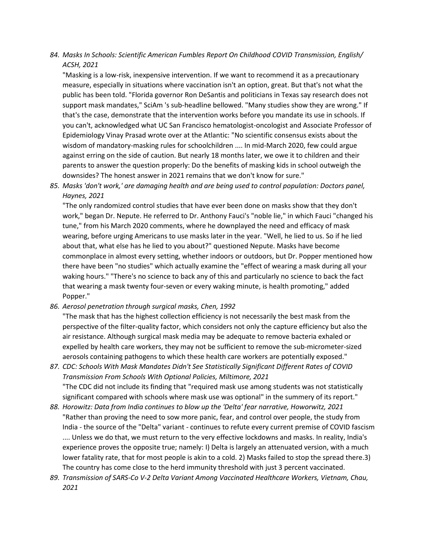*84. Masks In Schools: Scientific American Fumbles Report On Childhood COVID Transmission, English/ ACSH, 2021* 

"Masking is a low-risk, inexpensive intervention. If we want to recommend it as a precautionary measure, especially in situations where vaccination isn't an option, great. But that's not what the public has been told. "Florida governor Ron DeSantis and politicians in Texas say research does not support mask mandates," SciAm 's sub-headline bellowed. "Many studies show they are wrong." If that's the case, demonstrate that the intervention works before you mandate its use in schools. If you can't, acknowledged what UC San Francisco hematologist-oncologist and Associate Professor of Epidemiology Vinay Prasad wrote over at the Atlantic: "No scientific consensus exists about the wisdom of mandatory-masking rules for schoolchildren .... In mid-March 2020, few could argue against erring on the side of caution. But nearly 18 months later, we owe it to children and their parents to answer the question properly: Do the benefits of masking kids in school outweigh the downsides? The honest answer in 2021 remains that we don't know for sure."

*85. Masks 'don't work,' are damaging health and are being used to control population: Doctors panel, Haynes, 2021* 

"The only randomized control studies that have ever been done on masks show that they don't work," began Dr. Nepute. He referred to Dr. Anthony Fauci's "noble lie," in which Fauci "changed his tune," from his March 2020 comments, where he downplayed the need and efficacy of mask wearing, before urging Americans to use masks later in the year. "Well, he lied to us. So if he lied about that, what else has he lied to you about?" questioned Nepute. Masks have become commonplace in almost every setting, whether indoors or outdoors, but Dr. Popper mentioned how there have been "no studies" which actually examine the "effect of wearing a mask during all your waking hours." "There's no science to back any of this and particularly no science to back the fact that wearing a mask twenty four-seven or every waking minute, is health promoting," added Popper."

*86. Aerosol penetration through surgical masks, Chen, 1992* 

"The mask that has the highest collection efficiency is not necessarily the best mask from the perspective of the filter-quality factor, which considers not only the capture efficiency but also the air resistance. Although surgical mask media may be adequate to remove bacteria exhaled or expelled by health care workers, they may not be sufficient to remove the sub-micrometer-sized aerosols containing pathogens to which these health care workers are potentially exposed."

- *87. CDC: Schools With Mask Mandates Didn't See Statistically Significant Different Rates of COVID Transmission From Schools With Optional Policies, Miltimore, 2021*  "The CDC did not include its finding that "required mask use among students was not statistically significant compared with schools where mask use was optional" in the summery of its report."
- *88. Horowitz: Data from India continues to blow up the 'Delta' fear narrative, Howorwitz, 2021*  "Rather than proving the need to sow more panic, fear, and control over people, the study from India - the source of the "Delta" variant - continues to refute every current premise of COVID fascism .... Unless we do that, we must return to the very effective lockdowns and masks. In reality, India's experience proves the opposite true; namely: I) Delta is largely an attenuated version, with a much lower fatality rate, that for most people is akin to a cold. 2) Masks failed to stop the spread there.3) The country has come close to the herd immunity threshold with just 3 percent vaccinated.
- *89. Transmission of SARS-Co V-2 Delta Variant Among Vaccinated Healthcare Workers, Vietnam, Chau, 2021*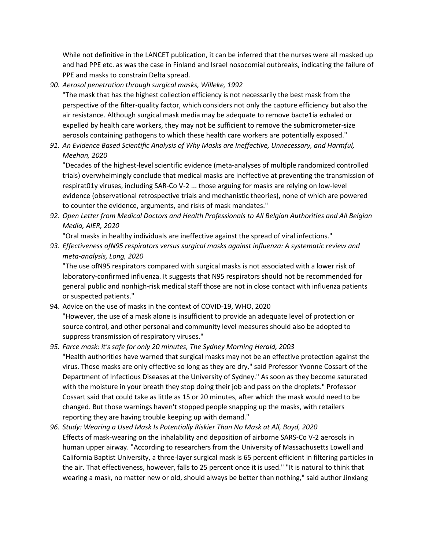While not definitive in the LANCET publication, it can be inferred that the nurses were all masked up and had PPE etc. as was the case in Finland and Israel nosocomial outbreaks, indicating the failure of PPE and masks to constrain Delta spread.

*90. Aerosol penetration through surgical masks, Willeke, 1992* 

"The mask that has the highest collection efficiency is not necessarily the best mask from the perspective of the filter-quality factor, which considers not only the capture efficiency but also the air resistance. Although surgical mask media may be adequate to remove bacte1ia exhaled or expelled by health care workers, they may not be sufficient to remove the submicrometer-size aerosols containing pathogens to which these health care workers are potentially exposed."

*91. An Evidence Based Scientific Analysis of Why Masks are Ineffective, Unnecessary, and Harmful, Meehan, 2020* 

"Decades of the highest-level scientific evidence (meta-analyses of multiple randomized controlled trials) overwhelmingly conclude that medical masks are ineffective at preventing the transmission of respirat01y viruses, including SAR-Co V-2 ... those arguing for masks are relying on low-level evidence (observational retrospective trials and mechanistic theories), none of which are powered to counter the evidence, arguments, and risks of mask mandates."

*92. Open Letter from Medical Doctors and Health Professionals to All Belgian Authorities and All Belgian Media, AIER, 2020* 

"Oral masks in healthy individuals are ineffective against the spread of viral infections."

*93. Effectiveness ofN95 respirators versus surgical masks against influenza: A systematic review and meta-analysis, Long, 2020* 

"The use ofN95 respirators compared with surgical masks is not associated with a lower risk of laboratory-confirmed influenza. It suggests that N95 respirators should not be recommended for general public and nonhigh-risk medical staff those are not in close contact with influenza patients or suspected patients."

94. Advice on the use of masks in the context of COVID-19, WHO, 2020 "However, the use of a mask alone is insufficient to provide an adequate level of protection or source control, and other personal and community level measures should also be adopted to suppress transmission of respiratory viruses."

### *95. Farce mask: it's safe for only 20 minutes, The Sydney Morning Herald, 2003*

"Health authorities have warned that surgical masks may not be an effective protection against the virus. Those masks are only effective so long as they are dry," said Professor Yvonne Cossart of the Department of Infectious Diseases at the University of Sydney." As soon as they become saturated with the moisture in your breath they stop doing their job and pass on the droplets." Professor Cossart said that could take as little as 15 or 20 minutes, after which the mask would need to be changed. But those warnings haven't stopped people snapping up the masks, with retailers reporting they are having trouble keeping up with demand."

*96. Study: Wearing a Used Mask Is Potentially Riskier Than No Mask at All, Boyd, 2020*  Effects of mask-wearing on the inhalability and deposition of airborne SARS-Co V-2 aerosols in human upper airway. "According to researchers from the University of Massachusetts Lowell and California Baptist University, a three-layer surgical mask is 65 percent efficient in filtering particles in the air. That effectiveness, however, falls to 25 percent once it is used." "It is natural to think that wearing a mask, no matter new or old, should always be better than nothing," said author Jinxiang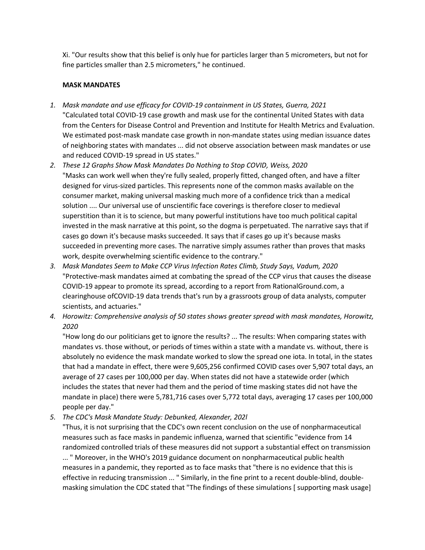Xi. "Our results show that this belief is only hue for particles larger than 5 micrometers, but not for fine particles smaller than 2.5 micrometers," he continued.

### **MASK MANDATES**

- *1. Mask mandate and use efficacy for COVID-19 containment in US States, Guerra, 2021*  "Calculated total COVID-19 case growth and mask use for the continental United States with data from the Centers for Disease Control and Prevention and Institute for Health Metrics and Evaluation. We estimated post-mask mandate case growth in non-mandate states using median issuance dates of neighboring states with mandates ... did not observe association between mask mandates or use and reduced COVID-19 spread in US states."
- *2. These 12 Graphs Show Mask Mandates Do Nothing to Stop COVID, Weiss, 2020*  "Masks can work well when they're fully sealed, properly fitted, changed often, and have a filter designed for virus-sized particles. This represents none of the common masks available on the consumer market, making universal masking much more of a confidence trick than a medical solution .... Our universal use of unscientific face coverings is therefore closer to medieval superstition than it is to science, but many powerful institutions have too much political capital invested in the mask narrative at this point, so the dogma is perpetuated. The narrative says that if cases go down it's because masks succeeded. It says that if cases go up it's because masks succeeded in preventing more cases. The narrative simply assumes rather than proves that masks work, despite overwhelming scientific evidence to the contrary."
- *3. Mask Mandates Seem to Make CCP Virus Infection Rates Climb, Study Says, Vadum, 2020* "Protective-mask mandates aimed at combating the spread of the CCP virus that causes the disease COVID-19 appear to promote its spread, according to a report from RationalGround.com, a clearinghouse ofCOVID-19 data trends that's run by a grassroots group of data analysts, computer scientists, and actuaries."
- *4. Horowitz: Comprehensive analysis of 50 states shows greater spread with mask mandates, Horowitz, 2020*

"How long do our politicians get to ignore the results? ... The results: When comparing states with mandates vs. those without, or periods of times within a state with a mandate vs. without, there is absolutely no evidence the mask mandate worked to slow the spread one iota. In total, in the states that had a mandate in effect, there were 9,605,256 confirmed COVID cases over 5,907 total days, an average of 27 cases per 100,000 per day. When states did not have a statewide order (which includes the states that never had them and the period of time masking states did not have the mandate in place) there were 5,781,716 cases over 5,772 total days, averaging 17 cases per 100,000 people per day."

*5. The CDC's Mask Mandate Study: Debunked, Alexander, 202l* 

"Thus, it is not surprising that the CDC's own recent conclusion on the use of nonpharmaceutical measures such as face masks in pandemic influenza, warned that scientific "evidence from 14 randomized controlled trials of these measures did not support a substantial effect on transmission

... " Moreover, in the WHO's 2019 guidance document on nonpharmaceutical public health measures in a pandemic, they reported as to face masks that "there is no evidence that this is effective in reducing transmission ... " Similarly, in the fine print to a recent double-blind, doublemasking simulation the CDC stated that "The findings of these simulations [ supporting mask usage]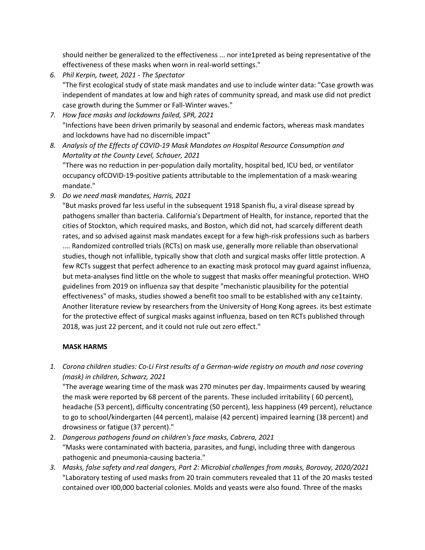should neither be generalized to the effectiveness ... nor inte1preted as being representative of the effectiveness of these masks when worn in real-world settings."

- *6. Phil Kerpin, tweet, 2021 - The Spectator*  "The first ecological study of state mask mandates and use to include winter data: "Case growth was independent of mandates at low and high rates of community spread, and mask use did not predict case growth during the Summer or Fall-Winter waves."
- *7. How face masks and lockdowns failed, SPR, 2021*  "Infections have been driven primarily by seasonal and endemic factors, whereas mask mandates and lockdowns have had no discernible impact"
- *8. Analysis of the Effects of COVID-19 Mask Mandates on Hospital Resource Consumption and Mortality at the County Level, Schauer, 2021*  "There was no reduction in per-population daily mortality, hospital bed, ICU bed, or ventilator occupancy ofCOVID-19-positive patients attributable to the implementation of a mask-wearing mandate."
- *9. Do we need mask mandates, Harris, 2021*

"But masks proved far less useful in the subsequent 1918 Spanish flu, a viral disease spread by pathogens smaller than bacteria. California's Department of Health, for instance, reported that the cities of Stockton, which required masks, and Boston, which did not, had scarcely different death rates, and so advised against mask mandates except for a few high-risk professions such as barbers .... Randomized controlled trials (RCTs) on mask use, generally more reliable than observational studies, though not infallible, typically show that cloth and surgical masks offer little protection. A few RCTs suggest that perfect adherence to an exacting mask protocol may guard against influenza, but meta-analyses find little on the whole to suggest that masks offer meaningful protection. WHO guidelines from 2019 on influenza say that despite "mechanistic plausibility for the potential effectiveness" of masks, studies showed a benefit too small to be established with any ce1tainty. Another literature review by researchers from the University of Hong Kong agrees. its best estimate for the protective effect of surgical masks against influenza, based on ten RCTs published through 2018, was just 22 percent, and it could not rule out zero effect."

#### **MASK HARMS**

*1. Corona children studies: Co-Li First results of a German-wide registry on mouth and nose covering (mask) in children, Schwarz, 2021* 

"The average wearing time of the mask was 270 minutes per day. Impairments caused by wearing the mask were reported by 68 percent of the parents. These included irritability ( 60 percent}, headache (53 percent), difficulty concentrating (50 percent), less happiness (49 percent), reluctance to go to school/kindergarten (44 percent), malaise (42 percent) impaired learning (38 percent) and drowsiness or fatigue (37 percent)."

- 2. *Dangerous pathogens found on children's face masks, Cabrera, 2021* "Masks were contaminated with bacteria, parasites, and fungi, including three with dangerous pathogenic and pneumonia-causing bacteria."
- *3. Masks, false safety and real dangers, Part 2: Microbial challenges from masks, Borovoy, 2020/2021*  "Laboratory testing of used masks from 20 train commuters revealed that 11 of the 20 masks tested contained over I00,000 bacterial colonies. Molds and yeasts were also found. Three of the masks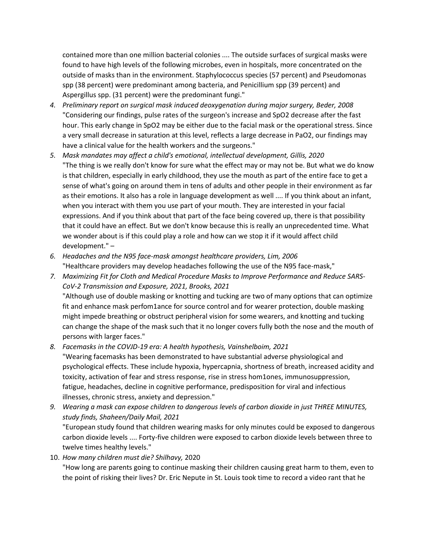contained more than one million bacterial colonies .... The outside surfaces of surgical masks were found to have high levels of the following microbes, even in hospitals, more concentrated on the outside of masks than in the environment. Staphylococcus species (57 percent) and Pseudomonas spp (38 percent) were predominant among bacteria, and Penicillium spp (39 percent) and Aspergillus spp. (31 percent) were the predominant fungi."

- *4. Preliminary report on surgical mask induced deoxygenation during major surgery, Beder, 2008*  "Considering our findings, pulse rates of the surgeon's increase and SpO2 decrease after the fast hour. This early change in SpO2 may be either due to the facial mask or the operational stress. Since a very small decrease in saturation at this level, reflects a large decrease in PaO2, our findings may have a clinical value for the health workers and the surgeons."
- *5. Mask mandates may affect a child's emotional, intellectual development, Gillis, 2020*  "The thing is we really don't know for sure what the effect may or may not be. But what we do know is that children, especially in early childhood, they use the mouth as part of the entire face to get a sense of what's going on around them in tens of adults and other people in their environment as far as their emotions. It also has a role in language development as well .... If you think about an infant, when you interact with them you use part of your mouth. They are interested in your facial expressions. And if you think about that part of the face being covered up, there is that possibility that it could have an effect. But we don't know because this is really an unprecedented time. What we wonder about is if this could play a role and how can we stop it if it would affect child development." –
- *6. Headaches and the N95 face-mask amongst healthcare providers, Lim, 2006*  "Healthcare providers may develop headaches following the use of the N95 face-mask,"
- *7. Maximizing Fit for Cloth and Medical Procedure Masks to Improve Performance and Reduce SARS-CoV-2 Transmission and Exposure, 2021, Brooks, 2021*  "Although use of double masking or knotting and tucking are two of many options that can optimize fit and enhance mask perfom1ance for source control and for wearer protection, double masking might impede breathing or obstruct peripheral vision for some wearers, and knotting and tucking can change the shape of the mask such that it no longer covers fully both the nose and the mouth of persons with larger faces."

*8. Facemasks in the COVJD-19 era: A health hypothesis, Vainshelboim, 2021* 

"Wearing facemasks has been demonstrated to have substantial adverse physiological and psychological effects. These include hypoxia, hypercapnia, shortness of breath, increased acidity and toxicity, activation of fear and stress response, rise in stress hom1ones, immunosuppression, fatigue, headaches, decline in cognitive performance, predisposition for viral and infectious illnesses, chronic stress, anxiety and depression."

- *9. Wearing a mask can expose children to dangerous levels of carbon dioxide in just THREE MINUTES, study finds, Shaheen/Daily Mail, 2021*  "European study found that children wearing masks for only minutes could be exposed to dangerous carbon dioxide levels .... Forty-five children were exposed to carbon dioxide levels between three to twelve times healthy levels."
- 10. *How many children must die? Shilhavy,* 2020

"How long are parents going to continue masking their children causing great harm to them, even to the point of risking their lives? Dr. Eric Nepute in St. Louis took time to record a video rant that he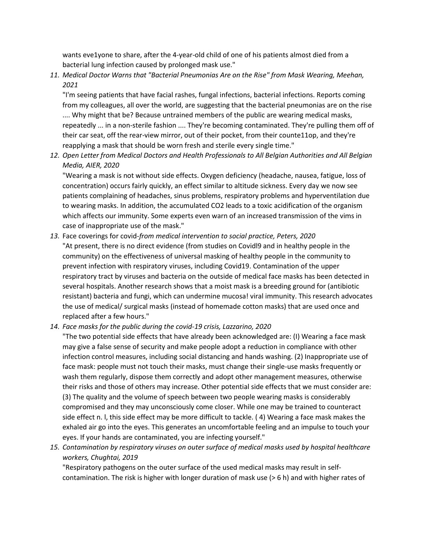wants eve1yone to share, after the 4-year-old child of one of his patients almost died from a bacterial lung infection caused by prolonged mask use."

*11. Medical Doctor Warns that "Bacterial Pneumonias Are on the Rise" from Mask Wearing, Meehan, 2021* 

"I'm seeing patients that have facial rashes, fungal infections, bacterial infections. Reports coming from my colleagues, all over the world, are suggesting that the bacterial pneumonias are on the rise .... Why might that be? Because untrained members of the public are wearing medical masks, repeatedly ... in a non-sterile fashion .... They're becoming contaminated. They're pulling them off of their car seat, off the rear-view mirror, out of their pocket, from their counte11op, and they're reapplying a mask that should be worn fresh and sterile every single time."

*12. Open Letter from Medical Doctors and Health Professionals to All Belgian Authorities and All Belgian Media, AIER, 2020* 

"Wearing a mask is not without side effects. Oxygen deficiency (headache, nausea, fatigue, loss of concentration) occurs fairly quickly, an effect similar to altitude sickness. Every day we now see patients complaining of headaches, sinus problems, respiratory problems and hyperventilation due to wearing masks. In addition, the accumulated CO2 leads to a toxic acidification of the organism which affects our immunity. Some experts even warn of an increased transmission of the vims in case of inappropriate use of the mask."

- *13.* Face coverings for covid-*from medical intervention to social practice, Peters, 2020*  "At present, there is no direct evidence (from studies on Covidl9 and in healthy people in the community) on the effectiveness of universal masking of healthy people in the community to prevent infection with respiratory viruses, including Covid19. Contamination of the upper respiratory tract by viruses and bacteria on the outside of medical face masks has been detected in several hospitals. Another research shows that a moist mask is a breeding ground for (antibiotic resistant) bacteria and fungi, which can undermine mucosa! viral immunity. This research advocates the use of medical/ surgical masks (instead of homemade cotton masks) that are used once and replaced after a few hours."
- *14. Face masks for the public during the covid-19 crisis, Lazzarino, 2020*

"The two potential side effects that have already been acknowledged are: (I) Wearing a face mask may give a false sense of security and make people adopt a reduction in compliance with other infection control measures, including social distancing and hands washing. (2) Inappropriate use of face mask: people must not touch their masks, must change their single-use masks frequently or wash them regularly, dispose them correctly and adopt other management measures, otherwise their risks and those of others may increase. Other potential side effects that we must consider are: (3) The quality and the volume of speech between two people wearing masks is considerably compromised and they may unconsciously come closer. While one may be trained to counteract side effect n. l, this side effect may be more difficult to tackle. ( 4) Wearing a face mask makes the exhaled air go into the eyes. This generates an uncomfortable feeling and an impulse to touch your eyes. If your hands are contaminated, you are infecting yourself."

*15. Contamination by respiratory viruses on outer surface of medical masks used by hospital healthcare workers, Chughtai, 2019* 

"Respiratory pathogens on the outer surface of the used medical masks may result in selfcontamination. The risk is higher with longer duration of mask use (> 6 h) and with higher rates of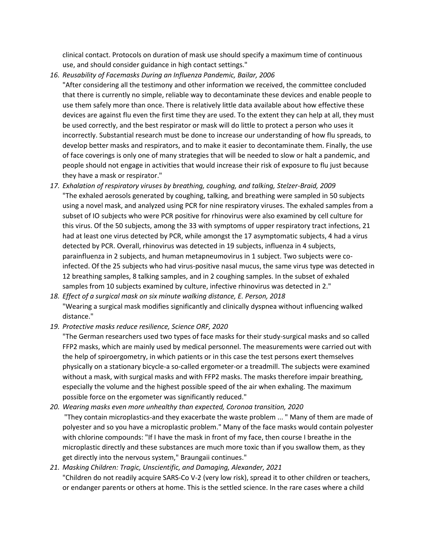clinical contact. Protocols on duration of mask use should specify a maximum time of continuous use, and should consider guidance in high contact settings."

- *16. Reusability of Facemasks During an Influenza Pandemic, Bailar, 2006* 
	- "After considering all the testimony and other information we received, the committee concluded that there is currently no simple, reliable way to decontaminate these devices and enable people to use them safely more than once. There is relatively little data available about how effective these devices are against flu even the first time they are used. To the extent they can help at all, they must be used correctly, and the best respirator or mask will do little to protect a person who uses it incorrectly. Substantial research must be done to increase our understanding of how flu spreads, to develop better masks and respirators, and to make it easier to decontaminate them. Finally, the use of face coverings is only one of many strategies that will be needed to slow or halt a pandemic, and people should not engage in activities that would increase their risk of exposure to flu just because they have a mask or respirator."
- *17. Exhalation of respiratory viruses by breathing, coughing, and talking, Stelzer-Braid, 2009* "The exhaled aerosols generated by coughing, talking, and breathing were sampled in 50 subjects using a novel mask, and analyzed using PCR for nine respiratory viruses. The exhaled samples from a subset of IO subjects who were PCR positive for rhinovirus were also examined by cell culture for this virus. Of the 50 subjects, among the 33 with symptoms of upper respiratory tract infections, 21 had at least one virus detected by PCR, while amongst the 17 asymptomatic subjects, 4 had a virus detected by PCR. Overall, rhinovirus was detected in 19 subjects, influenza in 4 subjects, parainfluenza in 2 subjects, and human metapneumovirus in 1 subject. Two subjects were coinfected. Of the 25 subjects who had virus-positive nasal mucus, the same virus type was detected in 12 breathing samples, 8 talking samples, and in 2 coughing samples. In the subset of exhaled samples from 10 subjects examined by culture, infective rhinovirus was detected in 2."
- *18. Effect of a surgical mask on six minute walking distance, E. Person, 2018*  "Wearing a surgical mask modifies significantly and clinically dyspnea without influencing walked distance."
- *19. Protective masks reduce resilience, Science ORF, 2020*

"The German researchers used two types of face masks for their study-surgical masks and so called FFP2 masks, which are mainly used by medical personnel. The measurements were carried out with the help of spiroergometry, in which patients or in this case the test persons exert themselves physically on a stationary bicycle-a so-called ergometer-or a treadmill. The subjects were examined without a mask, with surgical masks and with FFP2 masks. The masks therefore impair breathing, especially the volume and the highest possible speed of the air when exhaling. The maximum possible force on the ergometer was significantly reduced."

*20. Wearing masks even more unhealthy than expected, Coronoa transition, 2020* "They contain microplastics-and they exacerbate the waste problem ... " Many of them are made of polyester and so you have a microplastic problem." Many of the face masks would contain polyester with chlorine compounds: "If I have the mask in front of my face, then course I breathe in the microplastic directly and these substances are much more toxic than if you swallow them, as they get directly into the nervous system," Braungaii continues."

# *21. Masking Children: Tragic, Unscientific, and Damaging, Alexander, 2021*  "Children do not readily acquire SARS-Co V-2 (very low risk), spread it to other children or teachers, or endanger parents or others at home. This is the settled science. In the rare cases where a child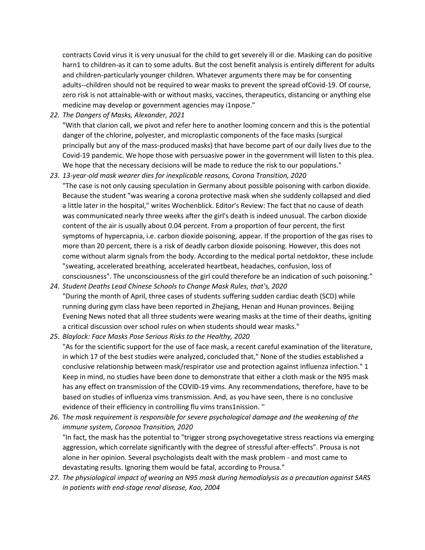contracts Covid virus it is very unusual for the child to get severely ill or die. Masking can do positive harn1 to children-as it can to some adults. But the cost benefit analysis is entirely different for adults and children-particularly younger children. Whatever arguments there may be for consenting adults--children should not be required to wear masks to prevent the spread ofCovid-19. Of course, zero risk is not attainable-with or without masks, vaccines, therapeutics, distancing or anything else medicine may develop or government agencies may i1npose."

*22. The Dangers of Masks, Alexander, 2021* 

"With that clarion call, we pivot and refer here to another looming concern and this is the potential danger of the chlorine, polyester, and microplastic components of the face masks (surgical principally but any of the mass-produced masks) that have become part of our daily lives due to the Covid-19 pandemic. We hope those with persuasive power in the government will listen to this plea. We hope that the necessary decisions will be made to reduce the risk to our populations."

- *23. 13-year-old mask wearer dies for inexplicable reasons, Corona Transition, 2020*  "The case is not only causing speculation in Germany about possible poisoning with carbon dioxide. Because the student "was wearing a corona protective mask when she suddenly collapsed and died a little later in the hospital," writes Wochenblick. Editor's Review: The fact that no cause of death was communicated nearly three weeks after the girl's death is indeed unusual. The carbon dioxide content of the air is usually about 0.04 percent. From a proportion of four percent, the first symptoms of hypercapnia, i.e. carbon dioxide poisoning, appear. If the proportion of the gas rises to more than 20 percent, there is a risk of deadly carbon dioxide poisoning. However, this does not come without alarm signals from the body. According to the medical portal netdoktor, these include "sweating, accelerated breathing, accelerated heartbeat, headaches, confusion, loss of consciousness". The unconsciousness of the girl could therefore be an indication of such poisoning."
- *24. Student Deaths Lead Chinese Schools to Change Mask Rules, that's, 2020*  "During the month of April, three cases of students suffering sudden cardiac death (SCD) while running during gym class have been reported in Zhejiang, Henan and Hunan provinces. Beijing Evening News noted that all three students were wearing masks at the time of their deaths, igniting a critical discussion over school rules on when students should wear masks."
- *25. Blaylock: Face Masks Pose Serious Risks to the Healthy, 2020*  "As for the scientific support for the use of face mask, a recent careful examination of the literature, in which 17 of the best studies were analyzed, concluded that," None of the studies established a conclusive relationship between mask/respirator use and protection against influenza infection." 1 Keep in mind, no studies have been done to demonstrate that either a cloth mask or the N95 mask has any effect on transmission of the COVID-19 vims. Any recommendations, therefore, have to be based on studies of influenza vims transmission. And, as you have seen, there is no conclusive evidence of their efficiency in controlling flu vims trans1nission. ''
- *26.* T*he mask requirement is responsible for severe psychological damage and the weakening of the immune system, Coronoa Transition, 2020*  "In fact, the mask has the potential to "trigger strong psychovegetative stress reactions via emerging aggression, which correlate significantly with the degree of stressful after-effects". Prousa is not alone in her opinion. Several psychologists dealt with the mask problem - and most came to devastating results. Ignoring them would be fatal, according to Prousa."
- *27. The physiological impact of wearing an N95 mask during hemodialysis as a precaution against SARS in patients with end-stage renal disease, Kao, 2004*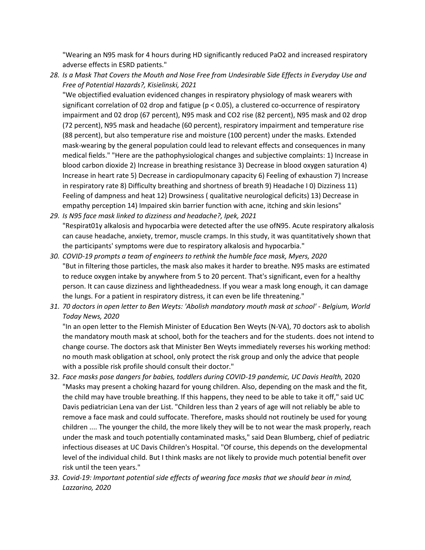"Wearing an N95 mask for 4 hours during HD significantly reduced PaO2 and increased respiratory adverse effects in ESRD patients."

*28. Is a Mask That Covers the Mouth and Nose Free from Undesirable Side Effects in Everyday Use and Free of Potential Hazards?, Kisielinski, 2021* 

"We objectified evaluation evidenced changes in respiratory physiology of mask wearers with significant correlation of 02 drop and fatigue (p < 0.05), a clustered co-occurrence of respiratory impairment and 02 drop (67 percent), N95 mask and CO2 rise (82 percent), N95 mask and 02 drop (72 percent), N95 mask and headache (60 percent), respiratory impairment and temperature rise (88 percent), but also temperature rise and moisture (100 percent) under the masks. Extended mask-wearing by the general population could lead to relevant effects and consequences in many medical fields." "Here are the pathophysiological changes and subjective complaints: 1) Increase in blood carbon dioxide 2) Increase in breathing resistance 3) Decrease in blood oxygen saturation 4) Increase in heart rate 5) Decrease in cardiopulmonary capacity 6) Feeling of exhaustion 7) Increase in respiratory rate 8) Difficulty breathing and shortness of breath 9) Headache I 0) Dizziness 11) Feeling of dampness and heat 12) Drowsiness ( qualitative neurological deficits) 13) Decrease in empathy perception 14) Impaired skin barrier function with acne, itching and skin lesions"

- *29. Is N95 face mask linked to dizziness and headache?, Ipek, 2021*  "Respirat01y alkalosis and hypocarbia were detected after the use ofN95. Acute respiratory alkalosis can cause headache, anxiety, tremor, muscle cramps. In this study, it was quantitatively shown that the participants' symptoms were due to respiratory alkalosis and hypocarbia."
- *30. COVID-19 prompts a team of engineers to rethink the humble face mask, Myers, 2020*  "But in filtering those particles, the mask also makes it harder to breathe. N95 masks are estimated to reduce oxygen intake by anywhere from 5 to 20 percent. That's significant, even for a healthy person. It can cause dizziness and lightheadedness. If you wear a mask long enough, it can damage the lungs. For a patient in respiratory distress, it can even be life threatening."
- *31. 70 doctors in open letter to Ben Weyts: 'Abolish mandatory mouth mask at school' - Belgium, World Today News, 2020*

"In an open letter to the Flemish Minister of Education Ben Weyts (N-VA), 70 doctors ask to abolish the mandatory mouth mask at school, both for the teachers and for the students. does not intend to change course. The doctors ask that Minister Ben Weyts immediately reverses his working method: no mouth mask obligation at school, only protect the risk group and only the advice that people with a possible risk profile should consult their doctor."

- 32. *Face masks pose dangers for babies, toddlers during COVID-19 pandemic, UC Davis Health,* 2020 "Masks may present a choking hazard for young children. Also, depending on the mask and the fit, the child may have trouble breathing. If this happens, they need to be able to take it off," said UC Davis pediatrician Lena van der List. "Children less than 2 years of age will not reliably be able to remove a face mask and could suffocate. Therefore, masks should not routinely be used for young children .... The younger the child, the more likely they will be to not wear the mask properly, reach under the mask and touch potentially contaminated masks," said Dean Blumberg, chief of pediatric infectious diseases at UC Davis Children's Hospital. "Of course, this depends on the developmental level of the individual child. But I think masks are not likely to provide much potential benefit over risk until the teen years."
- *33. Covid-19: Important potential side effects of wearing face masks that we should bear in mind, Lazzarino, 2020*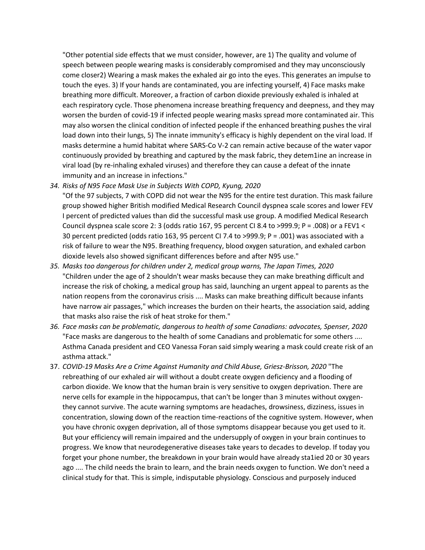"Other potential side effects that we must consider, however, are 1) The quality and volume of speech between people wearing masks is considerably compromised and they may unconsciously come closer2) Wearing a mask makes the exhaled air go into the eyes. This generates an impulse to touch the eyes. 3) If your hands are contaminated, you are infecting yourself, 4) Face masks make breathing more difficult. Moreover, a fraction of carbon dioxide previously exhaled is inhaled at each respiratory cycle. Those phenomena increase breathing frequency and deepness, and they may worsen the burden of covid-19 if infected people wearing masks spread more contaminated air. This may also worsen the clinical condition of infected people if the enhanced breathing pushes the viral load down into their lungs, 5) The innate immunity's efficacy is highly dependent on the viral load. If masks determine a humid habitat where SARS-Co V-2 can remain active because of the water vapor continuously provided by breathing and captured by the mask fabric, they detem1ine an increase in viral load (by re-inhaling exhaled viruses) and therefore they can cause a defeat of the innate immunity and an increase in infections."

*34. Risks of N95 Face Mask Use in Subjects With COPD, Kyung, 2020* 

"Of the 97 subjects, 7 with COPD did not wear the N95 for the entire test duration. This mask failure group showed higher British modified Medical Research Council dyspnea scale scores and lower FEV I percent of predicted values than did the successful mask use group. A modified Medical Research Council dyspnea scale score 2: 3 (odds ratio 167, 95 percent CI 8.4 to >999.9; P = .008) or a FEV1 < 30 percent predicted (odds ratio 163, 95 percent CI 7.4 to >999.9; P = .001) was associated with a risk of failure to wear the N95. Breathing frequency, blood oxygen saturation, and exhaled carbon dioxide levels also showed significant differences before and after N95 use."

- *35. Masks too dangerous for children under 2, medical group warns, The Japan Times, 2020*  "Children under the age of 2 shouldn't wear masks because they can make breathing difficult and increase the risk of choking, a medical group has said, launching an urgent appeal to parents as the nation reopens from the coronavirus crisis .... Masks can make breathing difficult because infants have narrow air passages," which increases the burden on their hearts, the association said, adding that masks also raise the risk of heat stroke for them."
- *36. Face masks can be problematic, dangerous to health of some Canadians: advocates, Spenser, 2020*  "Face masks are dangerous to the health of some Canadians and problematic for some others .... Asthma Canada president and CEO Vanessa Foran said simply wearing a mask could create risk of an asthma attack."
- 37. *COVID-19 Masks Are a Crime Against Humanity and Child Abuse, Griesz-Brisson, 2020* "The rebreathing of our exhaled air will without a doubt create oxygen deficiency and a flooding of carbon dioxide. We know that the human brain is very sensitive to oxygen deprivation. There are nerve cells for example in the hippocampus, that can't be longer than 3 minutes without oxygenthey cannot survive. The acute warning symptoms are headaches, drowsiness, dizziness, issues in concentration, slowing down of the reaction time-reactions of the cognitive system. However, when you have chronic oxygen deprivation, all of those symptoms disappear because you get used to it. But your efficiency will remain impaired and the undersupply of oxygen in your brain continues to progress. We know that neurodegenerative diseases take years to decades to develop. If today you forget your phone number, the breakdown in your brain would have already sta1ied 20 or 30 years ago .... The child needs the brain to learn, and the brain needs oxygen to function. We don't need a clinical study for that. This is simple, indisputable physiology. Conscious and purposely induced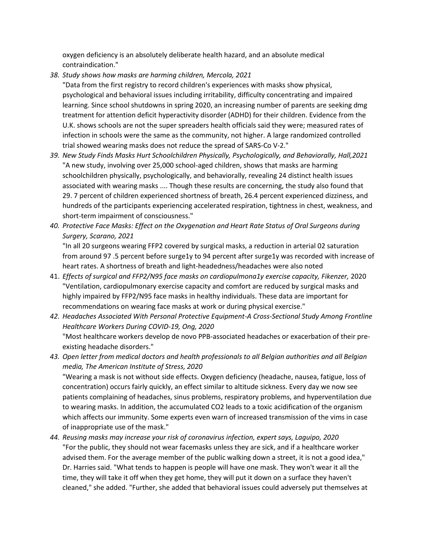oxygen deficiency is an absolutely deliberate health hazard, and an absolute medical contraindication."

- *38. Study shows how masks are harming children, Mercola, 2021*
- "Data from the first registry to record children's experiences with masks show physical, psychological and behavioral issues including irritability, difficulty concentrating and impaired learning. Since school shutdowns in spring 2020, an increasing number of parents are seeking dmg treatment for attention deficit hyperactivity disorder (ADHD) for their children. Evidence from the U.K. shows schools are not the super spreaders health officials said they were; measured rates of infection in schools were the same as the community, not higher. A large randomized controlled trial showed wearing masks does not reduce the spread of SARS-Co V-2."
- *39. New Study Finds Masks Hurt Schoolchildren Physically, Psychologically, and Behaviorally, Hall,2021*  "A new study, involving over 25,000 school-aged children, shows that masks are harming schoolchildren physically, psychologically, and behaviorally, revealing 24 distinct health issues associated with wearing masks .... Though these results are concerning, the study also found that 29. 7 percent of children experienced shortness of breath, 26.4 percent experienced dizziness, and hundreds of the participants experiencing accelerated respiration, tightness in chest, weakness, and short-term impairment of consciousness."
- *40. Protective Face Masks: Effect on the Oxygenation and Heart Rate Status of Oral Surgeons during Surgery, Scarano, 2021*  "In all 20 surgeons wearing FFP2 covered by surgical masks, a reduction in arterial 02 saturation

from around 97 .5 percent before surge1y to 94 percent after surge1y was recorded with increase of heart rates. A shortness of breath and light-headedness/headaches were also noted

- 41. *Effects of surgical and FFP2/N95 face masks on cardiopulmona1y exercise capacity, Fikenzer,* 2020 "Ventilation, cardiopulmonary exercise capacity and comfort are reduced by surgical masks and highly impaired by FFP2/N95 face masks in healthy individuals. These data are important for recommendations on wearing face masks at work or during physical exercise."
- *42. Headaches Associated With Personal Protective Equipment-A Cross-Sectional Study Among Frontline Healthcare Workers During COVID-19, Ong, 2020*  "Most healthcare workers develop de novo PPB-associated headaches or exacerbation of their preexisting headache disorders."
- *43. Open letter from medical doctors and health professionals to all Belgian authorities and all Belgian media, The American Institute of Stress, 2020*  "Wearing a mask is not without side effects. Oxygen deficiency (headache, nausea, fatigue, loss of concentration) occurs fairly quickly, an effect similar to altitude sickness. Every day we now see patients complaining of headaches, sinus problems, respiratory problems, and hyperventilation due to wearing masks. In addition, the accumulated CO2 leads to a toxic acidification of the organism which affects our immunity. Some experts even warn of increased transmission of the vims in case of inappropriate use of the mask."
- *44. Reusing masks may increase your risk of coronavirus infection, expert says, Laguipo, 2020*  "For the public, they should not wear facemasks unless they are sick, and if a healthcare worker advised them. For the average member of the public walking down a street, it is not a good idea," Dr. Harries said. "What tends to happen is people will have one mask. They won't wear it all the time, they will take it off when they get home, they will put it down on a surface they haven't cleaned," she added. "Further, she added that behavioral issues could adversely put themselves at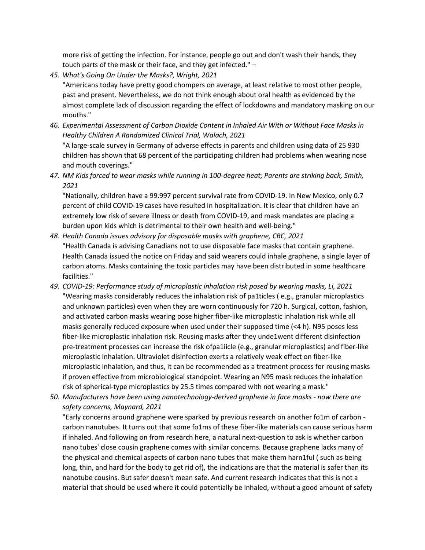more risk of getting the infection. For instance, people go out and don't wash their hands, they touch parts of the mask or their face, and they get infected." –

- *45. What's Going On Under the Masks?, Wright, 2021*  "Americans today have pretty good chompers on average, at least relative to most other people, past and present. Nevertheless, we do not think enough about oral health as evidenced by the almost complete lack of discussion regarding the effect of lockdowns and mandatory masking on our mouths."
- *46. Experimental Assessment of Carbon Dioxide Content in Inhaled Air With or Without Face Masks in Healthy Children A Randomized Clinical Trial, Walach, 2021*  "A large-scale survey in Germany of adverse effects in parents and children using data of 25 930 children has shown that 68 percent of the participating children had problems when wearing nose and mouth coverings."
- *47. NM Kids forced to wear masks while running in 100-degree heat; Parents are striking back, Smith, 2021*

"Nationally, children have a 99.997 percent survival rate from COVID-19. In New Mexico, only 0.7 percent of child COVID-19 cases have resulted in hospitalization. It is clear that children have an extremely low risk of severe illness or death from COVID-19, and mask mandates are placing a burden upon kids which is detrimental to their own health and well-being."

- *48. Health Canada issues advisory for disposable masks with graphene, CBC, 2021* "Health Canada is advising Canadians not to use disposable face masks that contain graphene. Health Canada issued the notice on Friday and said wearers could inhale graphene, a single layer of carbon atoms. Masks containing the toxic particles may have been distributed in some healthcare facilities."
- *49. COVID-19: Performance study of microplastic inhalation risk posed by wearing masks, Li, 2021*  "Wearing masks considerably reduces the inhalation risk of pa1ticles ( e.g., granular microplastics and unknown particles) even when they are worn continuously for 720 h. Surgical, cotton, fashion, and activated carbon masks wearing pose higher fiber-like microplastic inhalation risk while all masks generally reduced exposure when used under their supposed time (<4 h). N95 poses less fiber-like microplastic inhalation risk. Reusing masks after they unde1went different disinfection pre-treatment processes can increase the risk ofpa1iicle (e.g., granular microplastics) and fiber-like microplastic inhalation. Ultraviolet disinfection exerts a relatively weak effect on fiber-like microplastic inhalation, and thus, it can be recommended as a treatment process for reusing masks if proven effective from microbiological standpoint. Wearing an N95 mask reduces the inhalation risk of spherical-type microplastics by 25.5 times compared with not wearing a mask."
- *50. Manufacturers have been using nanotechnology-derived graphene in face masks - now there are safety concerns, Maynard, 2021*

"Early concerns around graphene were sparked by previous research on another fo1m of carbon carbon nanotubes. It turns out that some fo1ms of these fiber-like materials can cause serious harm if inhaled. And following on from research here, a natural next-question to ask is whether carbon nano tubes' close cousin graphene comes with similar concerns. Because graphene lacks many of the physical and chemical aspects of carbon nano tubes that make them harn1ful ( such as being long, thin, and hard for the body to get rid of), the indications are that the material is safer than its nanotube cousins. But safer doesn't mean safe. And current research indicates that this is not a material that should be used where it could potentially be inhaled, without a good amount of safety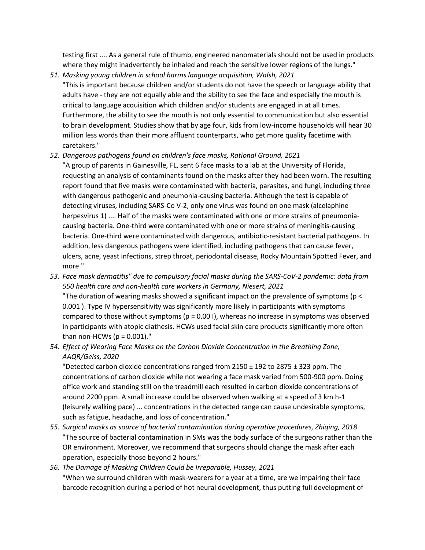testing first .... As a general rule of thumb, engineered nanomaterials should not be used in products where they might inadvertently be inhaled and reach the sensitive lower regions of the lungs."

- *51. Masking young children in school harms language acquisition, Walsh, 2021* "This is important because children and/or students do not have the speech or language ability that adults have - they are not equally able and the ability to see the face and especially the mouth is critical to language acquisition which children and/or students are engaged in at all times. Furthermore, the ability to see the mouth is not only essential to communication but also essential to brain development. Studies show that by age four, kids from low-income households will hear 30 million less words than their more affluent counterparts, who get more quality facetime with caretakers."
- *52. Dangerous pathogens found on children's face masks, Rational Ground, 2021* 
	- "A group of parents in Gainesville, FL, sent 6 face masks to a lab at the University of Florida, requesting an analysis of contaminants found on the masks after they had been worn. The resulting report found that five masks were contaminated with bacteria, parasites, and fungi, including three with dangerous pathogenic and pneumonia-causing bacteria. Although the test is capable of detecting viruses, including SARS-Co V-2, only one virus was found on one mask (alcelaphine herpesvirus 1) .... Half of the masks were contaminated with one or more strains of pneumoniacausing bacteria. One-third were contaminated with one or more strains of meningitis-causing bacteria. One-third were contaminated with dangerous, antibiotic-resistant bacterial pathogens. In addition, less dangerous pathogens were identified, including pathogens that can cause fever, ulcers, acne, yeast infections, strep throat, periodontal disease, Rocky Mountain Spotted Fever, and more."
- *53. Face mask dermatitis" due to compulsory facial masks during the SARS-CoV-2 pandemic: data from 550 health care and non-health care workers in Germany, Niesert, 2021*  "The duration of wearing masks showed a significant impact on the prevalence of symptoms (p < 0.001 ). Type IV hypersensitivity was significantly more likely in participants with symptoms compared to those without symptoms ( $p = 0.00$  I), whereas no increase in symptoms was observed in participants with atopic diathesis. HCWs used facial skin care products significantly more often than non-HCWs ( $p = 0.001$ )."
- *54. Effect of Wearing Face Masks on the Carbon Dioxide Concentration in the Breathing Zone, AAQR/Geiss, 2020*

"Detected carbon dioxide concentrations ranged from 2150 ± 192 to 2875 ± 323 ppm. The concentrations of carbon dioxide while not wearing a face mask varied from 500-900 ppm. Doing office work and standing still on the treadmill each resulted in carbon dioxide concentrations of around 2200 ppm. A small increase could be observed when walking at a speed of 3 km h-1 (leisurely walking pace) ... concentrations in the detected range can cause undesirable symptoms, such as fatigue, headache, and loss of concentration."

*55. Surgical masks as source of bacterial contamination during operative procedures, Zhiqing, 2018*  "The source of bacterial contamination in SMs was the body surface of the surgeons rather than the OR environment. Moreover, we recommend that surgeons should change the mask after each operation, especially those beyond 2 hours."

# *56. The Damage of Masking Children Could be Irreparable, Hussey, 2021*  "When we surround children with mask-wearers for a year at a time, are we impairing their face barcode recognition during a period of hot neural development, thus putting full development of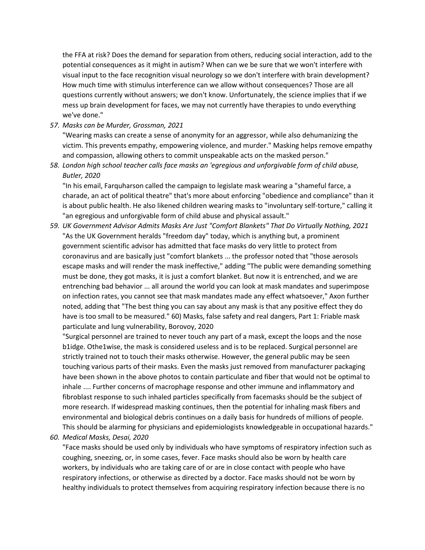the FFA at risk? Does the demand for separation from others, reducing social interaction, add to the potential consequences as it might in autism? When can we be sure that we won't interfere with visual input to the face recognition visual neurology so we don't interfere with brain development? How much time with stimulus interference can we allow without consequences? Those are all questions currently without answers; we don't know. Unfortunately, the science implies that if we mess up brain development for faces, we may not currently have therapies to undo everything we've done."

*57. Masks can be Murder, Grossman, 2021* 

"Wearing masks can create a sense of anonymity for an aggressor, while also dehumanizing the victim. This prevents empathy, empowering violence, and murder." Masking helps remove empathy and compassion, allowing others to commit unspeakable acts on the masked person."

*58. London high school teacher calls face masks an 'egregious and unforgivable form of child abuse, Butler, 2020* 

"In his email, Farquharson called the campaign to legislate mask wearing a "shameful farce, a charade, an act of political theatre" that's more about enforcing "obedience and compliance" than it is about public health. He also likened children wearing masks to "involuntary self-torture," calling it "an egregious and unforgivable form of child abuse and physical assault."

*59. UK Government Advisor Admits Masks Are Just "Comfort Blankets" That Do Virtually Nothing, 2021*  "As the UK Government heralds "freedom day" today, which is anything but, a prominent government scientific advisor has admitted that face masks do very little to protect from coronavirus and are basically just "comfort blankets ... the professor noted that "those aerosols escape masks and will render the mask ineffective," adding "The public were demanding something must be done, they got masks, it is just a comfort blanket. But now it is entrenched, and we are entrenching bad behavior ... all around the world you can look at mask mandates and superimpose on infection rates, you cannot see that mask mandates made any effect whatsoever," Axon further noted, adding that "The best thing you can say about any mask is that any positive effect they do have is too small to be measured." 60) Masks, false safety and real dangers, Part 1: Friable mask particulate and lung vulnerability, Borovoy, 2020

"Surgical personnel are trained to never touch any part of a mask, except the loops and the nose b1idge. Othe1wise, the mask is considered useless and is to be replaced. Surgical personnel are strictly trained not to touch their masks otherwise. However, the general public may be seen touching various parts of their masks. Even the masks just removed from manufacturer packaging have been shown in the above photos to contain particulate and fiber that would not be optimal to inhale .... Further concerns of macrophage response and other immune and inflammatory and fibroblast response to such inhaled particles specifically from facemasks should be the subject of more research. If widespread masking continues, then the potential for inhaling mask fibers and environmental and biological debris continues on a daily basis for hundreds of millions of people. This should be alarming for physicians and epidemiologists knowledgeable in occupational hazards."

*60. Medical Masks, Desai, 2020* 

"Face masks should be used only by individuals who have symptoms of respiratory infection such as coughing, sneezing, or, in some cases, fever. Face masks should also be worn by health care workers, by individuals who are taking care of or are in close contact with people who have respiratory infections, or otherwise as directed by a doctor. Face masks should not be worn by healthy individuals to protect themselves from acquiring respiratory infection because there is no